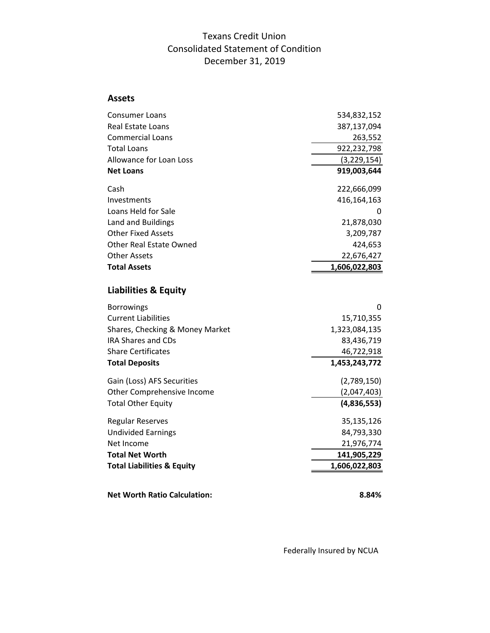## Texans Credit Union Consolidated Statement of Condition December 31, 2019

## **Assets**

| Consumer Loans                        | 534,832,152   |
|---------------------------------------|---------------|
| Real Estate Loans                     | 387,137,094   |
| <b>Commercial Loans</b>               | 263,552       |
| <b>Total Loans</b>                    | 922,232,798   |
| Allowance for Loan Loss               | (3, 229, 154) |
| <b>Net Loans</b>                      | 919,003,644   |
| Cash                                  | 222,666,099   |
| Investments                           | 416,164,163   |
| Loans Held for Sale                   | 0             |
| Land and Buildings                    | 21,878,030    |
| <b>Other Fixed Assets</b>             | 3,209,787     |
| Other Real Estate Owned               | 424,653       |
| <b>Other Assets</b>                   | 22,676,427    |
| <b>Total Assets</b>                   | 1,606,022,803 |
| <b>Liabilities &amp; Equity</b>       |               |
| <b>Borrowings</b>                     | 0             |
| <b>Current Liabilities</b>            | 15,710,355    |
| Shares, Checking & Money Market       | 1,323,084,135 |
| <b>IRA Shares and CDs</b>             | 83,436,719    |
| <b>Share Certificates</b>             | 46,722,918    |
| <b>Total Deposits</b>                 | 1,453,243,772 |
| Gain (Loss) AFS Securities            | (2,789,150)   |
| Other Comprehensive Income            | (2,047,403)   |
| <b>Total Other Equity</b>             | (4,836,553)   |
| <b>Regular Reserves</b>               | 35,135,126    |
| <b>Undivided Earnings</b>             | 84,793,330    |
| Net Income                            | 21,976,774    |
| <b>Total Net Worth</b>                | 141,905,229   |
| <b>Total Liabilities &amp; Equity</b> | 1,606,022,803 |
|                                       |               |
| <b>Net Worth Ratio Calculation:</b>   | 8.84%         |

Federally Insured by NCUA